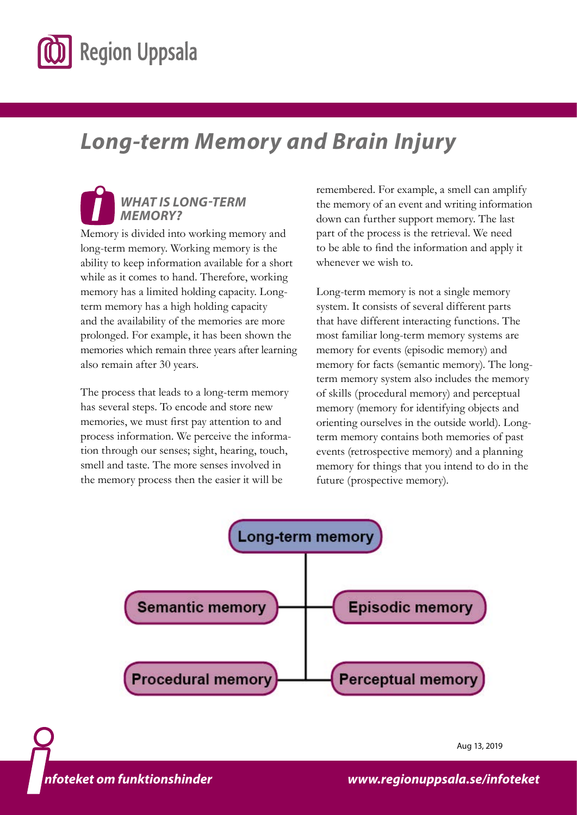

# *Long-term Memory and Brain Injury*

## *WHAT IS LONG-TERM MEMORY?*

Memory is divided into working memory and long-term memory. Working memory is the ability to keep information available for a short while as it comes to hand. Therefore, working memory has a limited holding capacity. Longterm memory has a high holding capacity and the availability of the memories are more prolonged. For example, it has been shown the memories which remain three years after learning also remain after 30 years.

The process that leads to a long-term memory has several steps. To encode and store new memories, we must first pay attention to and process information. We perceive the information through our senses; sight, hearing, touch, smell and taste. The more senses involved in the memory process then the easier it will be

remembered. For example, a smell can amplify the memory of an event and writing information down can further support memory. The last part of the process is the retrieval. We need to be able to find the information and apply it whenever we wish to.

Long-term memory is not a single memory system. It consists of several different parts that have different interacting functions. The most familiar long-term memory systems are memory for events (episodic memory) and memory for facts (semantic memory). The longterm memory system also includes the memory of skills (procedural memory) and perceptual memory (memory for identifying objects and orienting ourselves in the outside world). Longterm memory contains both memories of past events (retrospective memory) and a planning memory for things that you intend to do in the future (prospective memory).



*www.lul.se/infoteket [www.regionuppsala.se/infoteket](https://regionuppsala.se/infoteket)*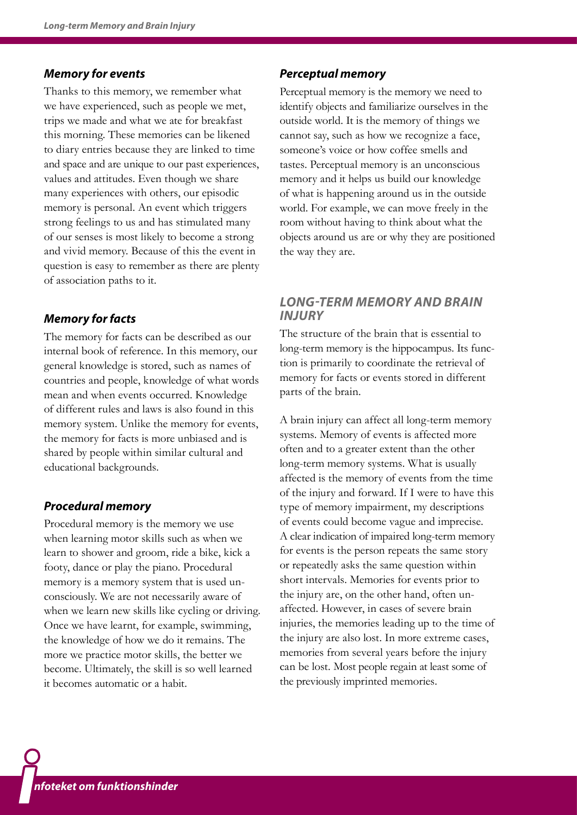## *Memory for events*

Thanks to this memory, we remember what we have experienced, such as people we met, trips we made and what we ate for breakfast this morning. These memories can be likened to diary entries because they are linked to time and space and are unique to our past experiences, values and attitudes. Even though we share many experiences with others, our episodic memory is personal. An event which triggers strong feelings to us and has stimulated many of our senses is most likely to become a strong and vivid memory. Because of this the event in question is easy to remember as there are plenty of association paths to it.

## *Memory for facts*

The memory for facts can be described as our internal book of reference. In this memory, our general knowledge is stored, such as names of countries and people, knowledge of what words mean and when events occurred. Knowledge of different rules and laws is also found in this memory system. Unlike the memory for events, the memory for facts is more unbiased and is shared by people within similar cultural and educational backgrounds.

### *Procedural memory*

Procedural memory is the memory we use when learning motor skills such as when we learn to shower and groom, ride a bike, kick a footy, dance or play the piano. Procedural memory is a memory system that is used unconsciously. We are not necessarily aware of when we learn new skills like cycling or driving. Once we have learnt, for example, swimming, the knowledge of how we do it remains. The more we practice motor skills, the better we become. Ultimately, the skill is so well learned it becomes automatic or a habit.

#### *Perceptual memory*

Perceptual memory is the memory we need to identify objects and familiarize ourselves in the outside world. It is the memory of things we cannot say, such as how we recognize a face, someone's voice or how coffee smells and tastes. Perceptual memory is an unconscious memory and it helps us build our knowledge of what is happening around us in the outside world. For example, we can move freely in the room without having to think about what the objects around us are or why they are positioned the way they are.

## *LONG-TERM MEMORY AND BRAIN INJURY*

The structure of the brain that is essential to long-term memory is the hippocampus. Its function is primarily to coordinate the retrieval of memory for facts or events stored in different parts of the brain.

A brain injury can affect all long-term memory systems. Memory of events is affected more often and to a greater extent than the other long-term memory systems. What is usually affected is the memory of events from the time of the injury and forward. If I were to have this type of memory impairment, my descriptions of events could become vague and imprecise. A clear indication of impaired long-term memory for events is the person repeats the same story or repeatedly asks the same question within short intervals. Memories for events prior to the injury are, on the other hand, often unaffected. However, in cases of severe brain injuries, the memories leading up to the time of the injury are also lost. In more extreme cases, memories from several years before the injury can be lost. Most people regain at least some of the previously imprinted memories.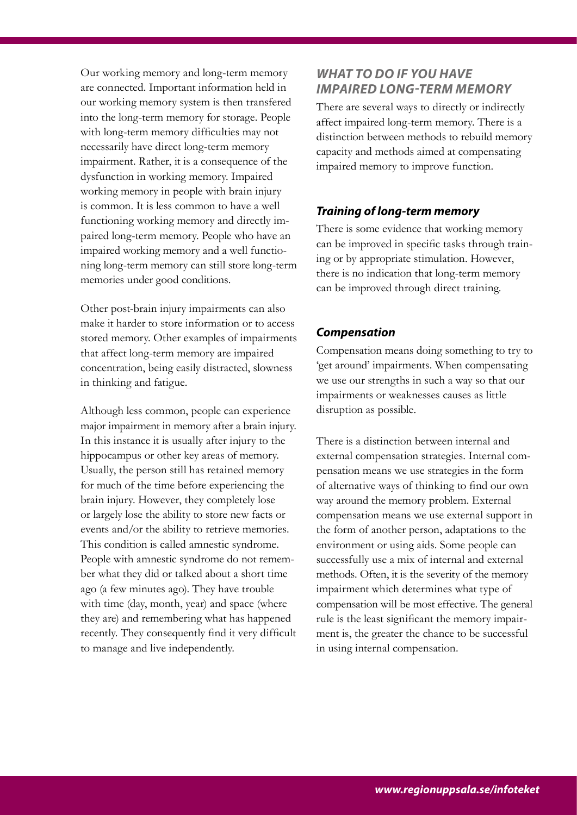Our working memory and long-term memory are connected. Important information held in our working memory system is then transfered into the long-term memory for storage. People with long-term memory difficulties may not necessarily have direct long-term memory impairment. Rather, it is a consequence of the dysfunction in working memory. Impaired working memory in people with brain injury is common. It is less common to have a well functioning working memory and directly impaired long-term memory. People who have an impaired working memory and a well functioning long-term memory can still store long-term memories under good conditions.

Other post-brain injury impairments can also make it harder to store information or to access stored memory. Other examples of impairments that affect long-term memory are impaired concentration, being easily distracted, slowness in thinking and fatigue.

Although less common, people can experience major impairment in memory after a brain injury. In this instance it is usually after injury to the hippocampus or other key areas of memory. Usually, the person still has retained memory for much of the time before experiencing the brain injury. However, they completely lose or largely lose the ability to store new facts or events and/or the ability to retrieve memories. This condition is called amnestic syndrome. People with amnestic syndrome do not remember what they did or talked about a short time ago (a few minutes ago). They have trouble with time (day, month, year) and space (where they are) and remembering what has happened recently. They consequently find it very difficult to manage and live independently.

## *WHAT TO DO IF YOU HAVE IMPAIRED LONG-TERM MEMORY*

There are several ways to directly or indirectly affect impaired long-term memory. There is a distinction between methods to rebuild memory capacity and methods aimed at compensating impaired memory to improve function.

## *Training of long-term memory*

There is some evidence that working memory can be improved in specific tasks through training or by appropriate stimulation. However, there is no indication that long-term memory can be improved through direct training.

## *Compensation*

Compensation means doing something to try to 'get around' impairments. When compensating we use our strengths in such a way so that our impairments or weaknesses causes as little disruption as possible.

There is a distinction between internal and external compensation strategies. Internal compensation means we use strategies in the form of alternative ways of thinking to find our own way around the memory problem. External compensation means we use external support in the form of another person, adaptations to the environment or using aids. Some people can successfully use a mix of internal and external methods. Often, it is the severity of the memory impairment which determines what type of compensation will be most effective. The general rule is the least significant the memory impairment is, the greater the chance to be successful in using internal compensation.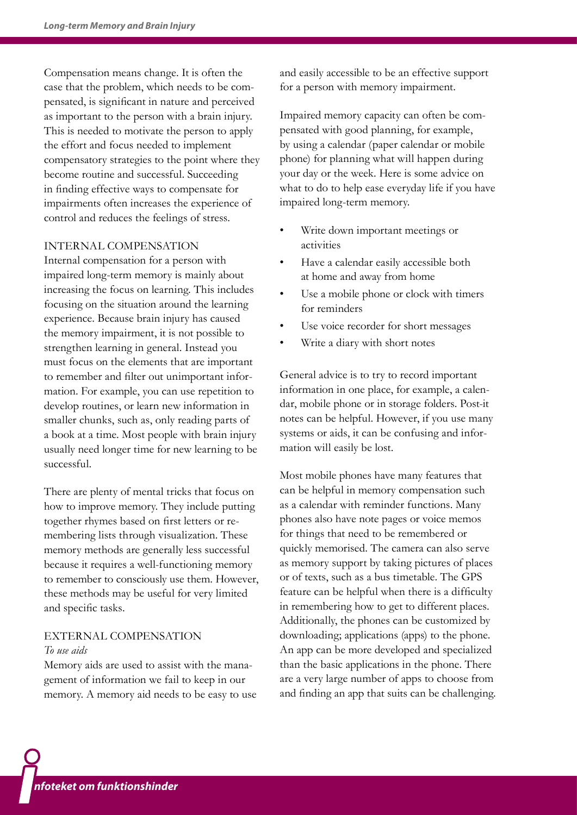Compensation means change. It is often the case that the problem, which needs to be compensated, is significant in nature and perceived as important to the person with a brain injury. This is needed to motivate the person to apply the effort and focus needed to implement compensatory strategies to the point where they become routine and successful. Succeeding in finding effective ways to compensate for impairments often increases the experience of control and reduces the feelings of stress.

#### INTERNAL COMPENSATION

Internal compensation for a person with impaired long-term memory is mainly about increasing the focus on learning. This includes focusing on the situation around the learning experience. Because brain injury has caused the memory impairment, it is not possible to strengthen learning in general. Instead you must focus on the elements that are important to remember and filter out unimportant information. For example, you can use repetition to develop routines, or learn new information in smaller chunks, such as, only reading parts of a book at a time. Most people with brain injury usually need longer time for new learning to be successful.

There are plenty of mental tricks that focus on how to improve memory. They include putting together rhymes based on first letters or remembering lists through visualization. These memory methods are generally less successful because it requires a well-functioning memory to remember to consciously use them. However, these methods may be useful for very limited and specific tasks.

### EXTERNAL COMPENSATION *To use aids*

Memory aids are used to assist with the management of information we fail to keep in our memory. A memory aid needs to be easy to use and easily accessible to be an effective support for a person with memory impairment.

Impaired memory capacity can often be compensated with good planning, for example, by using a calendar (paper calendar or mobile phone) for planning what will happen during your day or the week. Here is some advice on what to do to help ease everyday life if you have impaired long-term memory.

- Write down important meetings or activities
- Have a calendar easily accessible both at home and away from home
- Use a mobile phone or clock with timers for reminders
- Use voice recorder for short messages
- Write a diary with short notes

General advice is to try to record important information in one place, for example, a calendar, mobile phone or in storage folders. Post-it notes can be helpful. However, if you use many systems or aids, it can be confusing and information will easily be lost.

Most mobile phones have many features that can be helpful in memory compensation such as a calendar with reminder functions. Many phones also have note pages or voice memos for things that need to be remembered or quickly memorised. The camera can also serve as memory support by taking pictures of places or of texts, such as a bus timetable. The GPS feature can be helpful when there is a difficulty in remembering how to get to different places. Additionally, the phones can be customized by downloading; applications (apps) to the phone. An app can be more developed and specialized than the basic applications in the phone. There are a very large number of apps to choose from and finding an app that suits can be challenging.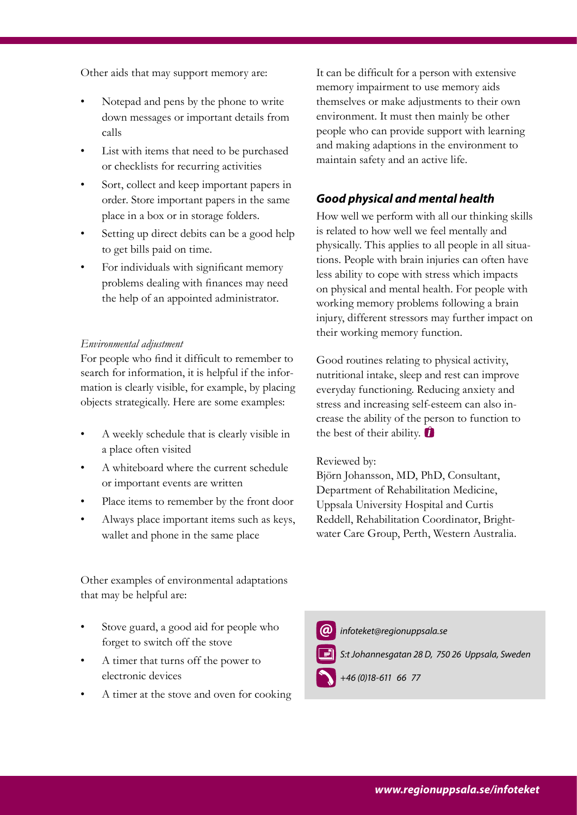Other aids that may support memory are:

- Notepad and pens by the phone to write down messages or important details from calls
- List with items that need to be purchased or checklists for recurring activities
- Sort, collect and keep important papers in order. Store important papers in the same place in a box or in storage folders.
- Setting up direct debits can be a good help to get bills paid on time.
- For individuals with significant memory problems dealing with finances may need the help of an appointed administrator.

#### *Environmental adjustment*

For people who find it difficult to remember to search for information, it is helpful if the information is clearly visible, for example, by placing objects strategically. Here are some examples:

- A weekly schedule that is clearly visible in a place often visited
- A whiteboard where the current schedule or important events are written
- Place items to remember by the front door
- Always place important items such as keys, wallet and phone in the same place

Other examples of environmental adaptations that may be helpful are:

- Stove guard, a good aid for people who forget to switch off the stove
- A timer that turns off the power to electronic devices
- A timer at the stove and oven for cooking

It can be difficult for a person with extensive memory impairment to use memory aids themselves or make adjustments to their own environment. It must then mainly be other people who can provide support with learning and making adaptions in the environment to maintain safety and an active life.

## *Good physical and mental health*

How well we perform with all our thinking skills is related to how well we feel mentally and physically. This applies to all people in all situations. People with brain injuries can often have less ability to cope with stress which impacts on physical and mental health. For people with working memory problems following a brain injury, different stressors may further impact on their working memory function.

Good routines relating to physical activity, nutritional intake, sleep and rest can improve everyday functioning. Reducing anxiety and stress and increasing self-esteem can also increase the ability of the person to function to the best of their ability.  $\bullet$ 

#### Reviewed by:

Björn Johansson, MD, PhD, Consultant, Department of Rehabilitation Medicine, Uppsala University Hospital and Curtis Reddell, Rehabilitation Coordinator, Brightwater Care Group, Perth, Western Australia.



*www.lul.se/infoteket*